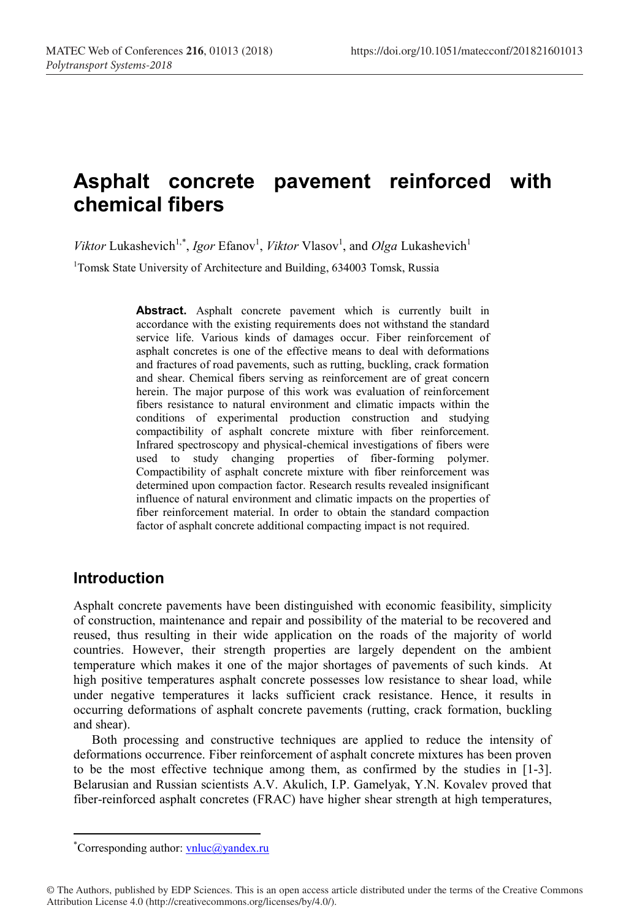# **Asphalt concrete pavement reinforced with chemical fibers**

*Viktor* Lukashevich<sup>1,\*</sup>, *Igor* Efanov<sup>1</sup>, *Viktor* Vlasov<sup>1</sup>, and *Olga* Lukashevich<sup>1</sup> <sup>1</sup>Tomsk State University of Architecture and Building, 634003 Tomsk, Russia

> **Abstract.** Asphalt concrete pavement which is currently built in accordance with the existing requirements does not withstand the standard service life. Various kinds of damages occur. Fiber reinforcement of asphalt concretes is one of the effective means to deal with deformations and fractures of road pavements, such as rutting, buckling, crack formation and shear. Chemical fibers serving as reinforcement are of great concern herein. The major purpose of this work was evaluation of reinforcement fibers resistance to natural environment and climatic impacts within the conditions of experimental production construction and studying compactibility of asphalt concrete mixture with fiber reinforcement. Infrared spectroscopy and physical-chemical investigations of fibers were used to study changing properties of fiber-forming polymer. Compactibility of asphalt concrete mixture with fiber reinforcement was determined upon compaction factor. Research results revealed insignificant influence of natural environment and climatic impacts on the properties of fiber reinforcement material. In order to obtain the standard compaction factor of asphalt concrete additional compacting impact is not required.

# **Introduction**

Asphalt concrete pavements have been distinguished with economic feasibility, simplicity of construction, maintenance and repair and possibility of the material to be recovered and reused, thus resulting in their wide application on the roads of the majority of world countries. However, their strength properties are largely dependent on the ambient temperature which makes it one of the major shortages of pavements of such kinds. At high positive temperatures asphalt concrete possesses low resistance to shear load, while under negative temperatures it lacks sufficient crack resistance. Hence, it results in occurring deformations of asphalt concrete pavements (rutting, crack formation, buckling and shear).

Both processing and constructive techniques are applied to reduce the intensity of deformations occurrence. Fiber reinforcement of asphalt concrete mixtures has been proven to be the most effective technique among them, as confirmed by the studies in [1-3]. Belarusian and Russian scientists A.V. Akulich, I.P. Gamelyak, Y.N. Kovalev proved that fiber-reinforced asphalt concretes (FRAC) have higher shear strength at high temperatures,

 <sup>\*</sup> \*Corresponding author:  $vnluc@yandex.ru$ 

<sup>©</sup> The Authors, published by EDP Sciences. This is an open access article distributed under the terms of the Creative Commons Attribution License 4.0 (http://creativecommons.org/licenses/by/4.0/).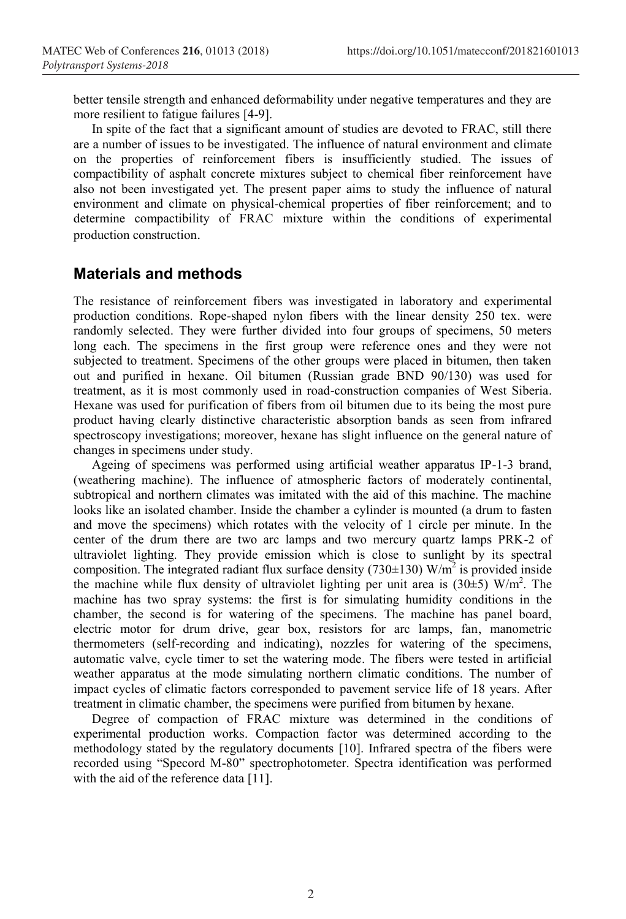better tensile strength and enhanced deformability under negative temperatures and they are more resilient to fatigue failures [4-9].

In spite of the fact that a significant amount of studies are devoted to FRAC, still there are a number of issues to be investigated. The influence of natural environment and climate on the properties of reinforcement fibers is insufficiently studied. The issues of compactibility of asphalt concrete mixtures subject to chemical fiber reinforcement have also not been investigated yet. The present paper aims to study the influence of natural environment and climate on physical-chemical properties of fiber reinforcement; and to determine compactibility of FRAC mixture within the conditions of experimental production construction.

### **Materials and methods**

The resistance of reinforcement fibers was investigated in laboratory and experimental production conditions. Rope-shaped nylon fibers with the linear density 250 tex. were randomly selected. They were further divided into four groups of specimens, 50 meters long each. The specimens in the first group were reference ones and they were not subjected to treatment. Specimens of the other groups were placed in bitumen, then taken out and purified in hexane. Oil bitumen (Russian grade BND 90/130) was used for treatment, as it is most commonly used in road-construction companies of West Siberia. Hexane was used for purification of fibers from oil bitumen due to its being the most pure product having clearly distinctive characteristic absorption bands as seen from infrared spectroscopy investigations; moreover, hexane has slight influence on the general nature of changes in specimens under study.

Ageing of specimens was performed using artificial weather apparatus IP-1-3 brand, (weathering machine). The influence of atmospheric factors of moderately continental, subtropical and northern climates was imitated with the aid of this machine. The machine looks like an isolated chamber. Inside the chamber a cylinder is mounted (a drum to fasten and move the specimens) which rotates with the velocity of 1 circle per minute. In the center of the drum there are two arc lamps and two mercury quartz lamps PRK-2 of ultraviolet lighting. They provide emission which is close to sunlight by its spectral composition. The integrated radiant flux surface density (730 $\pm$ 130) W/m<sup>2</sup> is provided inside the machine while flux density of ultraviolet lighting per unit area is  $(30\pm5)$  W/m<sup>2</sup>. The machine has two spray systems: the first is for simulating humidity conditions in the chamber, the second is for watering of the specimens. The machine has panel board, electric motor for drum drive, gear box, resistors for arc lamps, fan, manometric thermometers (self-recording and indicating), nozzles for watering of the specimens, automatic valve, cycle timer to set the watering mode. The fibers were tested in artificial weather apparatus at the mode simulating northern climatic conditions. The number of impact cycles of climatic factors corresponded to pavement service life of 18 years. After treatment in climatic chamber, the specimens were purified from bitumen by hexane.

Degree of compaction of FRAC mixture was determined in the conditions of experimental production works. Compaction factor was determined according to the methodology stated by the regulatory documents [10]. Infrared spectra of the fibers were recorded using "Specord M-80" spectrophotometer. Spectra identification was performed with the aid of the reference data [11].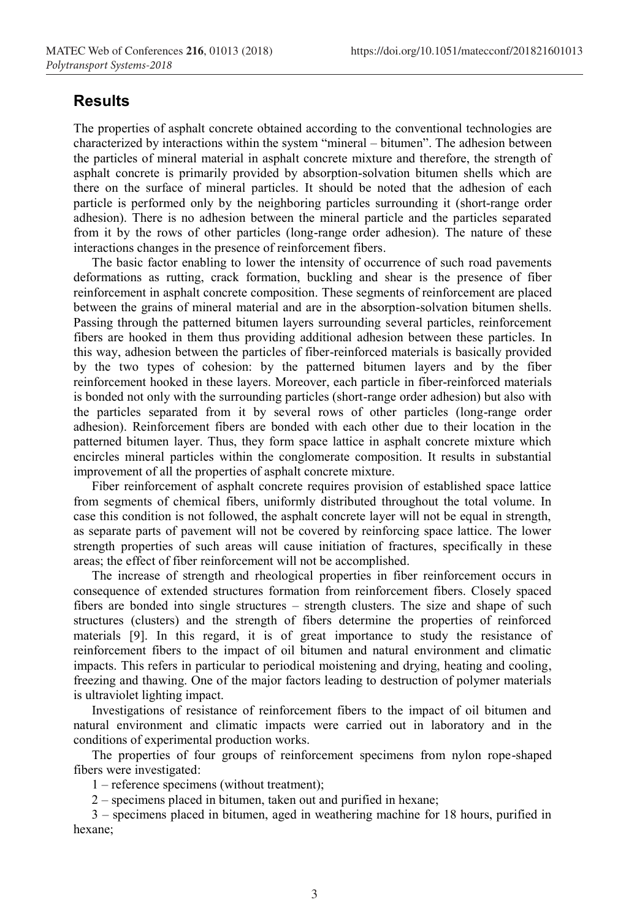### **Results**

The properties of asphalt concrete obtained according to the conventional technologies are characterized by interactions within the system "mineral – bitumen". The adhesion between the particles of mineral material in asphalt concrete mixture and therefore, the strength of asphalt concrete is primarily provided by absorption-solvation bitumen shells which are there on the surface of mineral particles. It should be noted that the adhesion of each particle is performed only by the neighboring particles surrounding it (short-range order adhesion). There is no adhesion between the mineral particle and the particles separated from it by the rows of other particles (long-range order adhesion). The nature of these interactions changes in the presence of reinforcement fibers.

The basic factor enabling to lower the intensity of occurrence of such road pavements deformations as rutting, crack formation, buckling and shear is the presence of fiber reinforcement in asphalt concrete composition. These segments of reinforcement are placed between the grains of mineral material and are in the absorption-solvation bitumen shells. Passing through the patterned bitumen layers surrounding several particles, reinforcement fibers are hooked in them thus providing additional adhesion between these particles. In this way, adhesion between the particles of fiber-reinforced materials is basically provided by the two types of cohesion: by the patterned bitumen layers and by the fiber reinforcement hooked in these layers. Moreover, each particle in fiber-reinforced materials is bonded not only with the surrounding particles (short-range order adhesion) but also with the particles separated from it by several rows of other particles (long-range order adhesion). Reinforcement fibers are bonded with each other due to their location in the patterned bitumen layer. Thus, they form space lattice in asphalt concrete mixture which encircles mineral particles within the conglomerate composition. It results in substantial improvement of all the properties of asphalt concrete mixture.

Fiber reinforcement of asphalt concrete requires provision of established space lattice from segments of chemical fibers, uniformly distributed throughout the total volume. In case this condition is not followed, the asphalt concrete layer will not be equal in strength, as separate parts of pavement will not be covered by reinforcing space lattice. The lower strength properties of such areas will cause initiation of fractures, specifically in these areas; the effect of fiber reinforcement will not be accomplished.

The increase of strength and rheological properties in fiber reinforcement occurs in consequence of extended structures formation from reinforcement fibers. Closely spaced fibers are bonded into single structures – strength clusters. The size and shape of such structures (clusters) and the strength of fibers determine the properties of reinforced materials [9]. In this regard, it is of great importance to study the resistance of reinforcement fibers to the impact of oil bitumen and natural environment and climatic impacts. This refers in particular to periodical moistening and drying, heating and cooling, freezing and thawing. One of the major factors leading to destruction of polymer materials is ultraviolet lighting impact.

Investigations of resistance of reinforcement fibers to the impact of oil bitumen and natural environment and climatic impacts were carried out in laboratory and in the conditions of experimental production works.

The properties of four groups of reinforcement specimens from nylon rope-shaped fibers were investigated:

1 – reference specimens (without treatment);

2 – specimens placed in bitumen, taken out and purified in hexane;

3 – specimens placed in bitumen, aged in weathering machine for 18 hours, purified in hexane;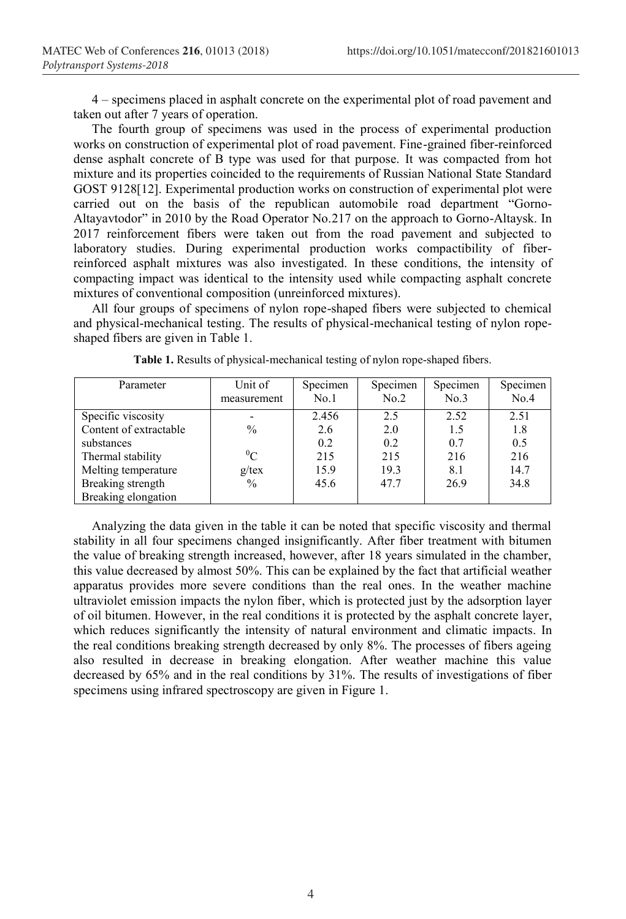4 – specimens placed in asphalt concrete on the experimental plot of road pavement and taken out after 7 years of operation.

The fourth group of specimens was used in the process of experimental production works on construction of experimental plot of road pavement. Fine-grained fiber-reinforced dense asphalt concrete of B type was used for that purpose. It was compacted from hot mixture and its properties coincided to the requirements of Russian National State Standard GOST 9128[12]. Experimental production works on construction of experimental plot were carried out on the basis of the republican automobile road department "Gorno-Altayavtodor" in 2010 by the Road Operator No.217 on the approach to Gorno-Altaysk. In 2017 reinforcement fibers were taken out from the road pavement and subjected to laboratory studies. During experimental production works compactibility of fiberreinforced asphalt mixtures was also investigated. In these conditions, the intensity of compacting impact was identical to the intensity used while compacting asphalt concrete mixtures of conventional composition (unreinforced mixtures).

All four groups of specimens of nylon rope-shaped fibers were subjected to chemical and physical-mechanical testing. The results of physical-mechanical testing of nylon ropeshaped fibers are given in Table 1.

| Parameter              | Unit of       | Specimen | Specimen | Specimen | Specimen |
|------------------------|---------------|----------|----------|----------|----------|
|                        | measurement   | No.1     | No.2     | No.3     | No.4     |
| Specific viscosity     |               | 2.456    | 2.5      | 2.52     | 2.51     |
| Content of extractable | $\frac{0}{0}$ | 2.6      | 2.0      | 1.5      | 1.8      |
| substances             |               | 0.2      | 0.2      | 0.7      | 0.5      |
| Thermal stability      | ${}^0C$       | 215      | 215      | 216      | 216      |
| Melting temperature    | $g$ /tex      | 15.9     | 19.3     | 8.1      | 14.7     |
| Breaking strength      | $\frac{0}{0}$ | 45.6     | 47.7     | 26.9     | 34.8     |
| Breaking elongation    |               |          |          |          |          |

**Table 1.** Results of physical-mechanical testing of nylon rope-shaped fibers.

Analyzing the data given in the table it can be noted that specific viscosity and thermal stability in all four specimens changed insignificantly. After fiber treatment with bitumen the value of breaking strength increased, however, after 18 years simulated in the chamber, this value decreased by almost 50%. This can be explained by the fact that artificial weather apparatus provides more severe conditions than the real ones. In the weather machine ultraviolet emission impacts the nylon fiber, which is protected just by the adsorption layer of oil bitumen. However, in the real conditions it is protected by the asphalt concrete layer, which reduces significantly the intensity of natural environment and climatic impacts. In the real conditions breaking strength decreased by only 8%. The processes of fibers ageing also resulted in decrease in breaking elongation. After weather machine this value decreased by 65% and in the real conditions by 31%. The results of investigations of fiber specimens using infrared spectroscopy are given in Figure 1.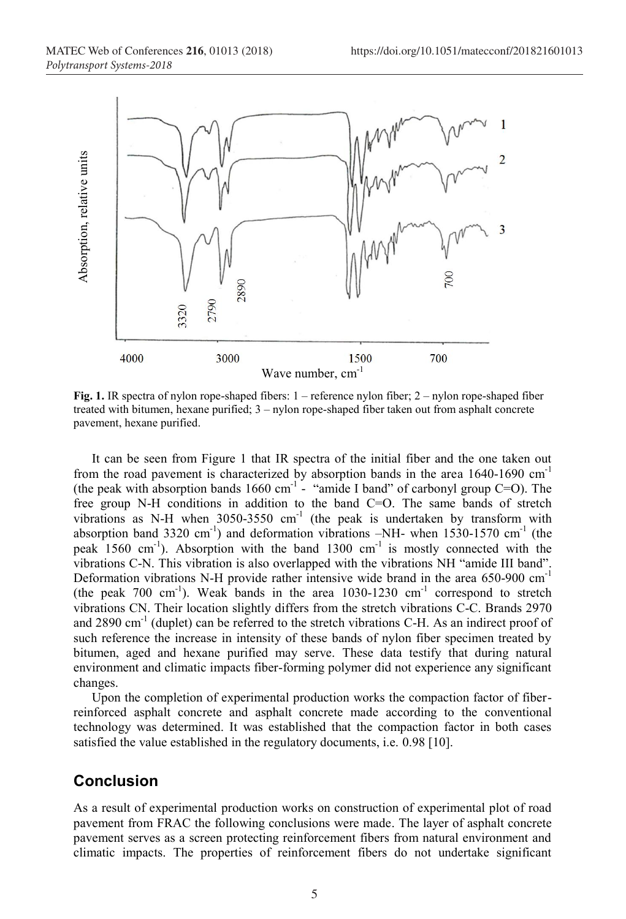

**Fig. 1.** IR spectra of nylon rope-shaped fibers: 1 – reference nylon fiber; 2 – nylon rope-shaped fiber treated with bitumen, hexane purified; 3 – nylon rope-shaped fiber taken out from asphalt concrete pavement, hexane purified.

It can be seen from Figure 1 that IR spectra of the initial fiber and the one taken out from the road pavement is characterized by absorption bands in the area 1640-1690 cm-1 (the peak with absorption bands  $1660 \text{ cm}^{-1}$  - "amide I band" of carbonyl group C=O). The free group N-H conditions in addition to the band C=O. The same bands of stretch vibrations as N-H when  $3050-3550$  cm<sup>-1</sup> (the peak is undertaken by transform with absorption band 3320 cm<sup>-1</sup>) and deformation vibrations  $-NH$ - when 1530-1570 cm<sup>-1</sup> (the peak  $1560 \text{ cm}^{-1}$ ). Absorption with the band  $1300 \text{ cm}^{-1}$  is mostly connected with the vibrations С-N. This vibration is also overlapped with the vibrations NH "amide III band". Deformation vibrations N-H provide rather intensive wide brand in the area 650-900 cm<sup>-1</sup> (the peak 700 cm<sup>-1</sup>). Weak bands in the area  $1030-1230$  cm<sup>-1</sup> correspond to stretch vibrations СN. Their location slightly differs from the stretch vibrations С-C. Brands 2970 and  $2890 \text{ cm}^{-1}$  (duplet) can be referred to the stretch vibrations C-H. As an indirect proof of such reference the increase in intensity of these bands of nylon fiber specimen treated by bitumen, aged and hexane purified may serve. These data testify that during natural environment and climatic impacts fiber-forming polymer did not experience any significant changes. Fig. 2. The properties of reduced the method in the properties of reduced the significant of the properties of relative significant  $\frac{25}{66}$ .<br>  $\frac{25}{66}$  and  $\frac{25}{66}$  and  $\frac{25}{66}$  and  $\frac{25}{66}$  and  $\frac{25}{66}$ 

Upon the completion of experimental production works the compaction factor of fiberreinforced asphalt concrete and asphalt concrete made according to the conventional technology was determined. It was established that the compaction factor in both cases satisfied the value established in the regulatory documents, i.e. 0.98 [10].

#### **Conclusion**

As a result of experimental production works on construction of experimental plot of road pavement from FRAC the following conclusions were made. The layer of asphalt concrete pavement serves as a screen protecting reinforcement fibers from natural environment and climatic impacts. The properties of reinforcement fibers do not undertake significant